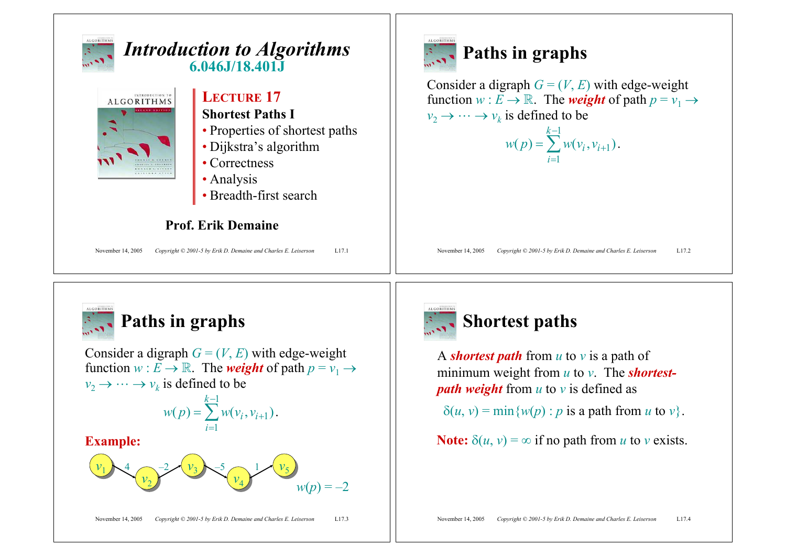



## **Paths in graphs**

Consider a digraph  $G = (V, E)$  with edge-weight function  $w : E \to \mathbb{R}$ . The *weight* of path  $p = v_1 \to$  $v_2 \rightarrow \cdots \rightarrow v_k$  is defined to be

$$
w(p) = \sum_{i=1}^{k-1} w(v_i, v_{i+1}).
$$

#### **Example:**





## **Shortest paths**

A *shortest path* from *u* to *v* is a path of minimum weight from *u* to *v*. The *shortestpath weight* from *u* to *v* is defined as

 $\delta(u, v) = \min\{w(p) : p \text{ is a path from } u \text{ to } v\}.$ 

**Note:**  $\delta(u, v) = \infty$  if no path from *u* to *v* exists.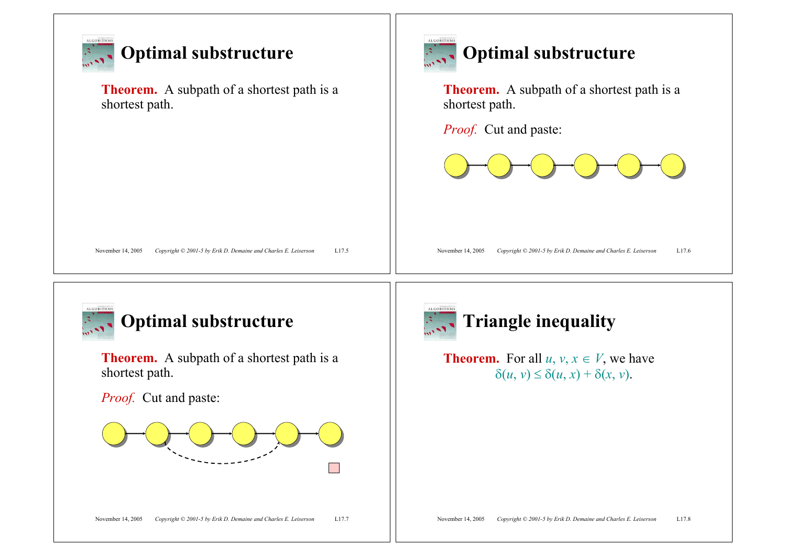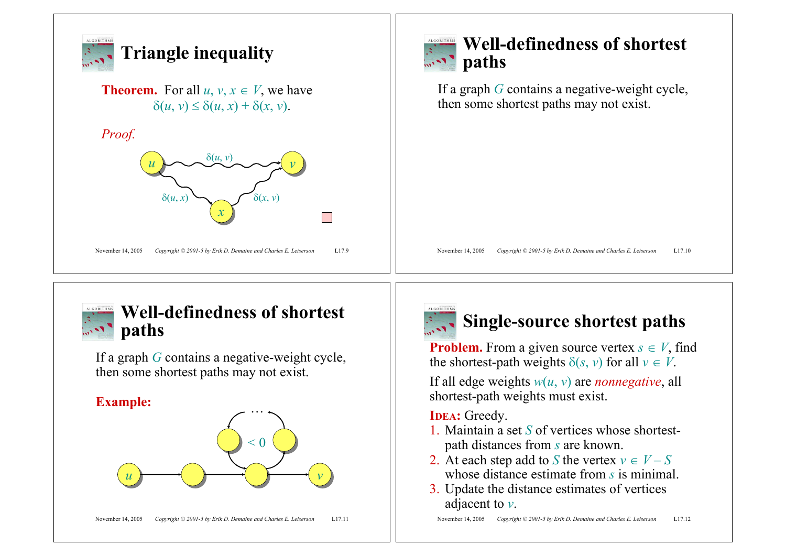



### **Well-definedness of shortest paths**

If a graph *G* contains a negative-weight cycle, then some shortest paths may not exist.

#### **Example:**





## **Single-source shortest paths**

**Problem.** From a given source vertex  $s \in V$ , find the shortest-path weights  $\delta(s, v)$  for all  $v \in V$ .

If all edge weights *w*(*u*, *v*) are *nonnegative*, all shortest-path weights must exist.

#### **IDEA:** Greedy.

- 1. Maintain a set *S* of vertices whose shortestpath distances from *s* are known.
- 2. At each step add to *S* the vertex  $v \in V S$ whose distance estimate from *s* is minimal.
- 3. Update the distance estimates of vertices adjacent to *v*.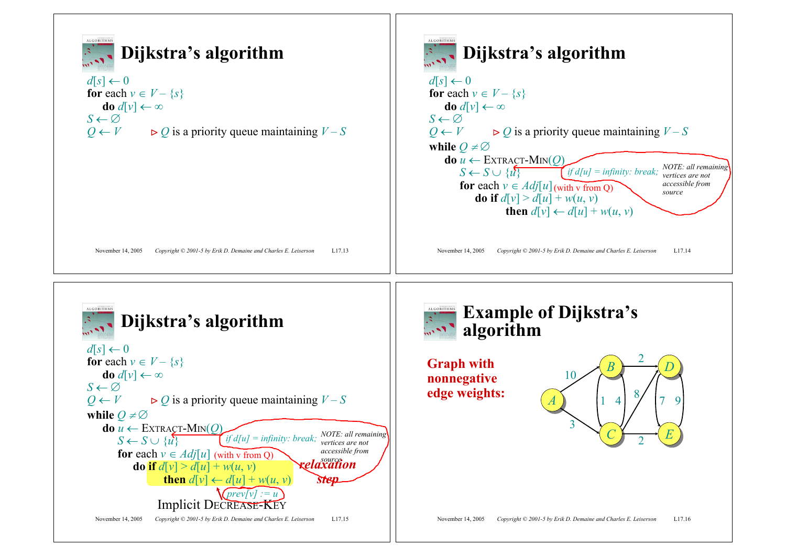



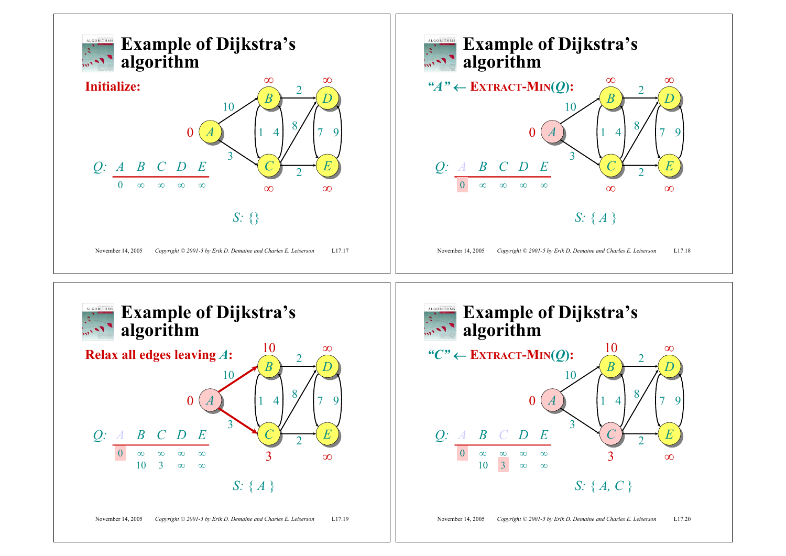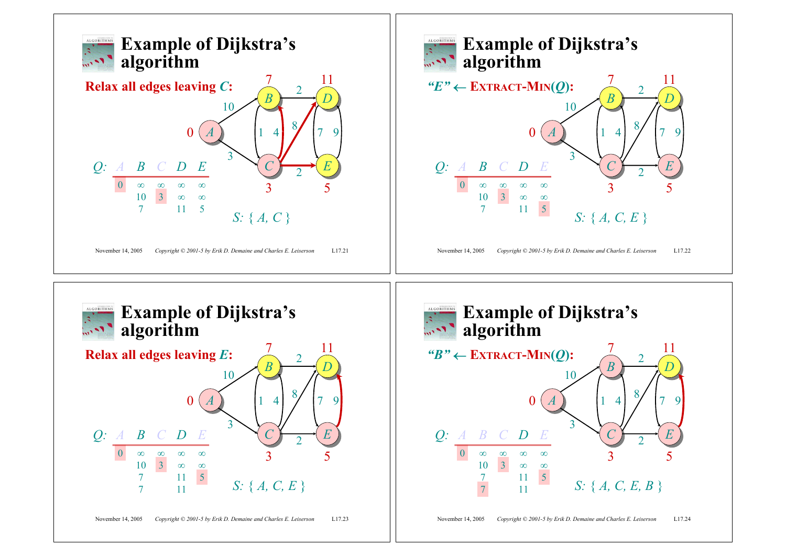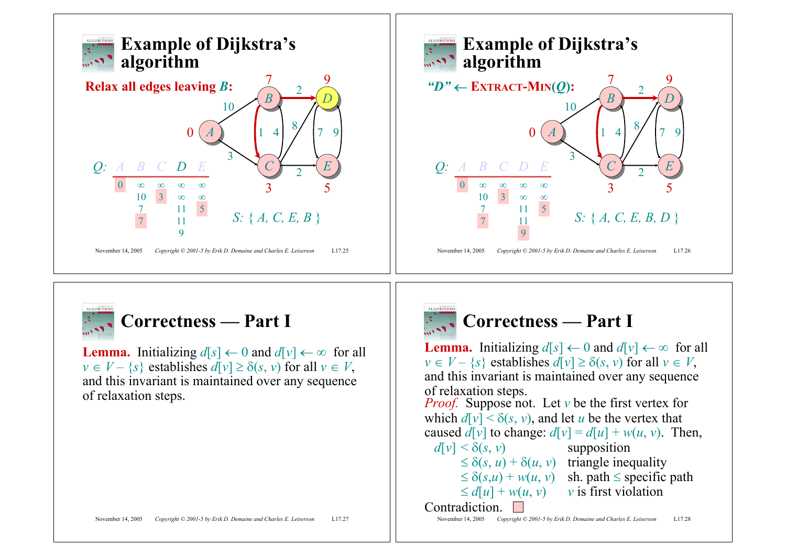



**Lemma.** Initializing  $d[s] \leftarrow 0$  and  $d[v] \leftarrow \infty$  for all  $v \in V - \{s\}$  establishes  $d[v] \ge \delta(s, v)$  for all  $v \in V$ , and this invariant is maintained over any sequence of relaxation steps.



### **Correctness — Part I**

**Lemma.** Initializing  $d[s] \leftarrow 0$  and  $d[v] \leftarrow \infty$  for all  $v \in V - \{s\}$  establishes  $d[v] \ge \delta(s, v)$  for all  $v \in V$ , and this invariant is maintained over any sequence of relaxation steps. *Proof.* Suppose not. Let *<sup>v</sup>* be the first vertex for which  $d[v] \le \delta(s, v)$ , and let *u* be the vertex that

caused  $d[v]$  to change:  $d[v] = d[u] + w(u, v)$ . Then,

 $d[v] \leq \delta(s, v)$  supposition

 $\leq \delta(s, u) + \delta(u, v)$  triangle inequality  $\leq \delta(s,u) + w(u,v)$  sh. path  $\leq$  specific path  $\leq d[u] + w(u, v)$  *v* is first violation

Contradiction.

November 14, 2005 *Copyright © 2001-5 by Erik D. Demaine and Charles E. Leiserson* L17.28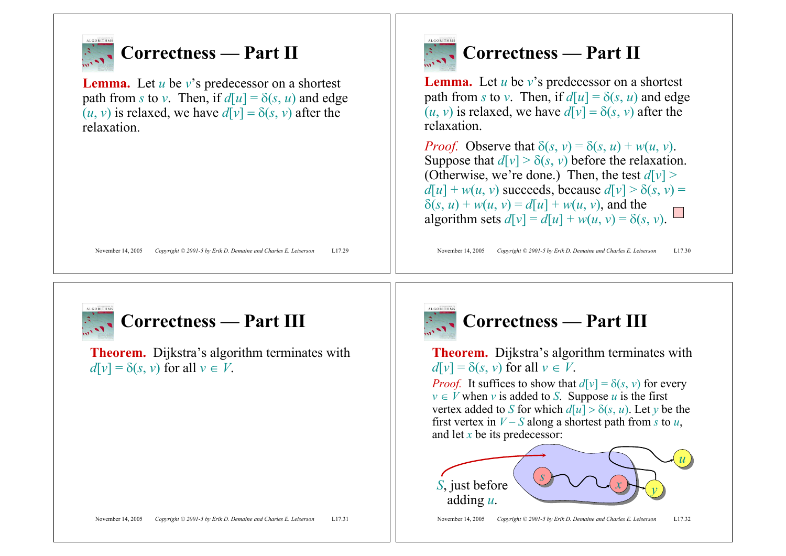

## **Correctness — Part II**

**Lemma.** Let *u* be *v*'s predecessor on a shortest path from *s* to *v*. Then, if  $d[u] = \delta(s, u)$  and edge  $(u, v)$  is relaxed, we have  $d[v] = \delta(s, v)$  after the relaxation.



# **Correctness** — **Part II**

**Lemma.** Let  $u$  be  $v$ 's predecessor on a shortest path from *s* to *v*. Then, if  $d[u] = \delta(s, u)$  and edge  $(u, v)$  is relaxed, we have  $d[v] = \delta(s, v)$  after the relaxation.

*Proof.* Observe that  $\delta(s, v) = \delta(s, u) + w(u, v)$ . Suppose that  $d[v] > \delta(s, v)$  before the relaxation. (Otherwise, we're done.) Then, the test  $d[v]$  >  $d[u] + w(u, v)$  succeeds, because  $d[v] > \delta(s, v)$  $\delta(s, u) + w(u, v) = d[u] + w(u, v)$ , and the algorithm sets  $d[v] = d[u] + w(u, v) = \delta(s, v)$ .

November 14, 2005 *Copyright © 2001-5 by Erik D. Demaine and Charles E. Leiserson* L17.30



## **Correctness — Part III**

**Theorem.** Dijkstra's algorithm terminates with  $d[v] = \delta(s, v)$  for all  $v \in V$ .



## **Correctness — Part III**

**Theorem.** Dijkstra's algorithm terminates with  $d[v] = \delta(s, v)$  for all  $v \in V$ .

*Proof.* It suffices to show that  $d[v] = \delta(s, v)$  for every  $v \in V$  when *v* is added to *S*. Suppose *u* is the first vertex added to *S* for which  $d[u] > \delta(s, u)$ . Let *y* be the first vertex in  $V - S$  along a shortest path from *s* to *u*, and let *x* be its predecessor:

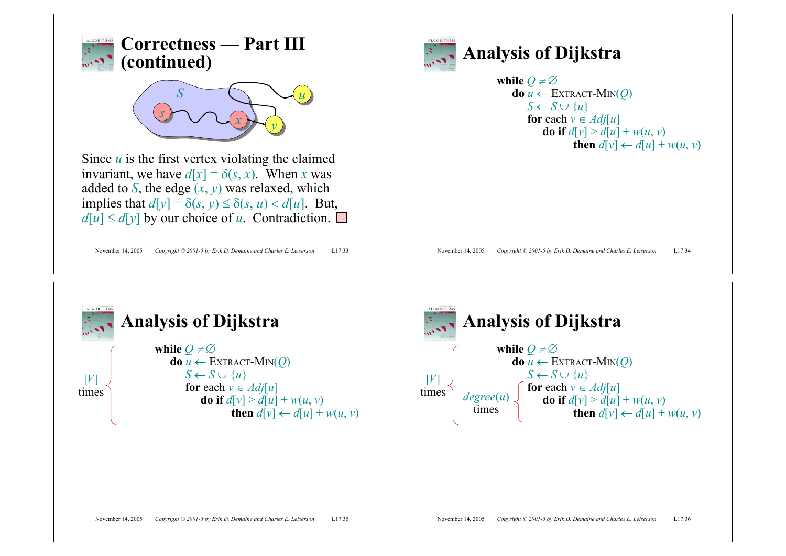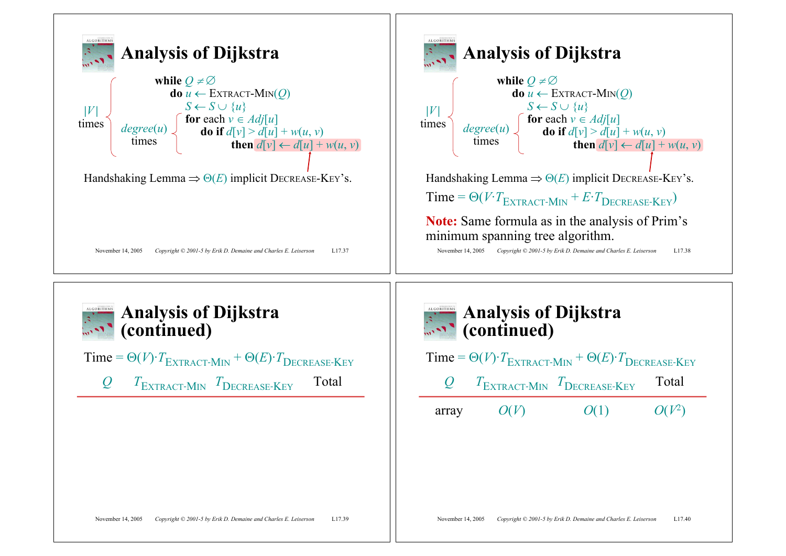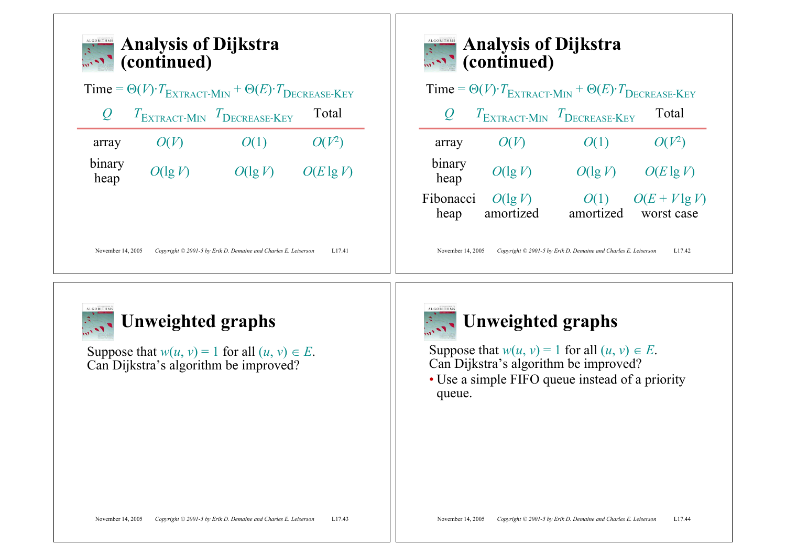



## **Unweighted graphs**

Suppose that  $w(u, v) = 1$  for all  $(u, v) \in E$ .<br>Can Dijkstra's algorithm be improved?



# **Unweighted graphs**

Suppose that  $w(u, v) = 1$  for all  $(u, v) \in E$ .<br>Can Dijkstra's algorithm be improved?

• Use a simple FIFO queue instead of a priority queue.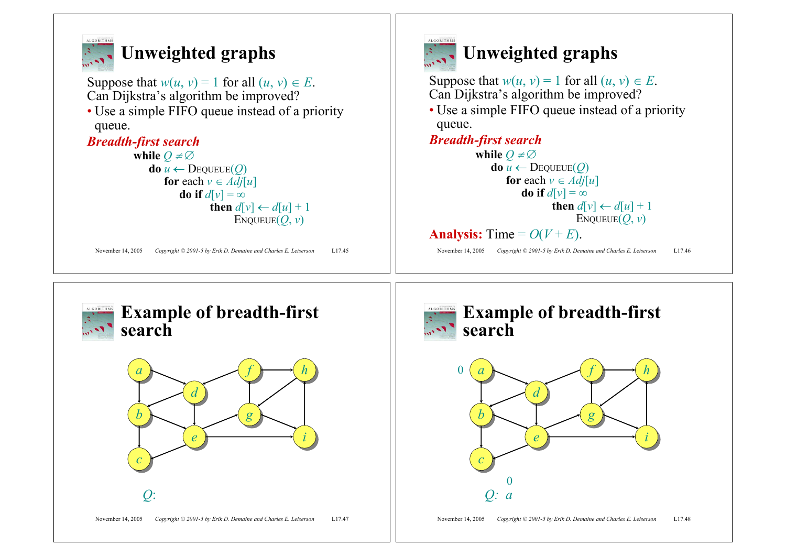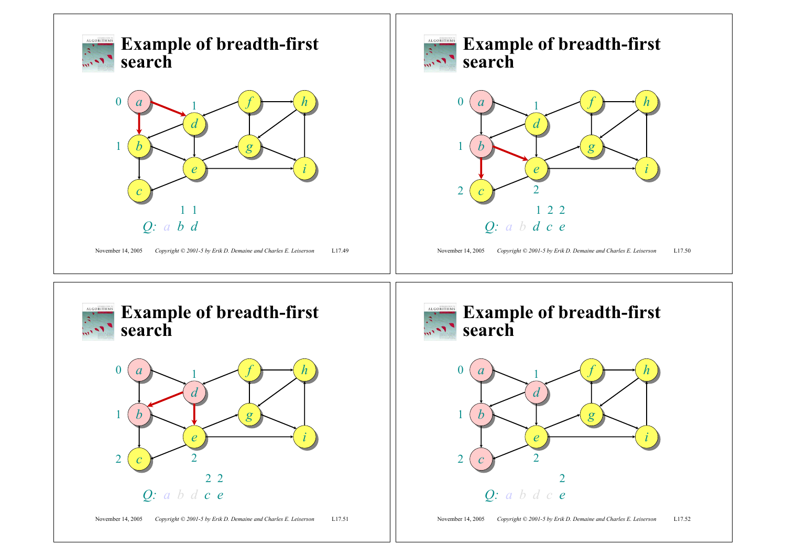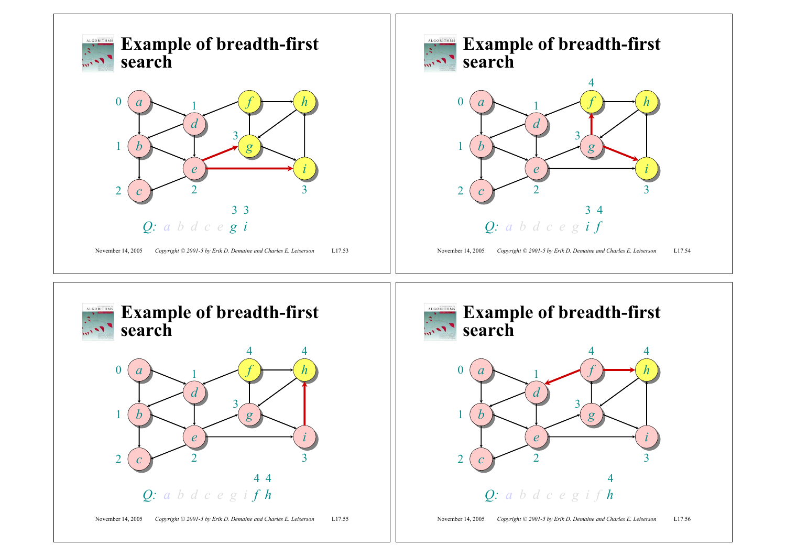